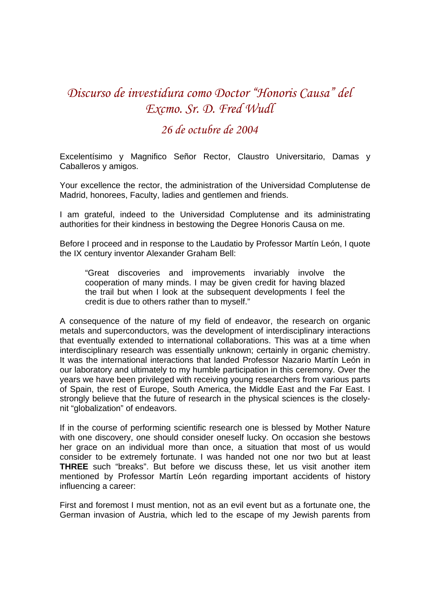## *Discurso de investidura como Doctor "Honoris Causa" del Excmo. Sr. D. Fred Wudl*

## *26 de octubre de 2004*

Excelentísimo y Magnifico Señor Rector, Claustro Universitario, Damas y Caballeros y amigos.

Your excellence the rector, the administration of the Universidad Complutense de Madrid, honorees, Faculty, ladies and gentlemen and friends.

I am grateful, indeed to the Universidad Complutense and its administrating authorities for their kindness in bestowing the Degree Honoris Causa on me.

Before I proceed and in response to the Laudatio by Professor Martín León, I quote the IX century inventor Alexander Graham Bell:

"Great discoveries and improvements invariably involve the cooperation of many minds. I may be given credit for having blazed the trail but when I look at the subsequent developments I feel the credit is due to others rather than to myself."

A consequence of the nature of my field of endeavor, the research on organic metals and superconductors, was the development of interdisciplinary interactions that eventually extended to international collaborations. This was at a time when interdisciplinary research was essentially unknown; certainly in organic chemistry. It was the international interactions that landed Professor Nazario Martín León in our laboratory and ultimately to my humble participation in this ceremony. Over the years we have been privileged with receiving young researchers from various parts of Spain, the rest of Europe, South America, the Middle East and the Far East. I strongly believe that the future of research in the physical sciences is the closelynit "globalization" of endeavors.

If in the course of performing scientific research one is blessed by Mother Nature with one discovery, one should consider oneself lucky. On occasion she bestows her grace on an individual more than once, a situation that most of us would consider to be extremely fortunate. I was handed not one nor two but at least **THREE** such "breaks". But before we discuss these, let us visit another item mentioned by Professor Martín León regarding important accidents of history influencing a career:

First and foremost I must mention, not as an evil event but as a fortunate one, the German invasion of Austria, which led to the escape of my Jewish parents from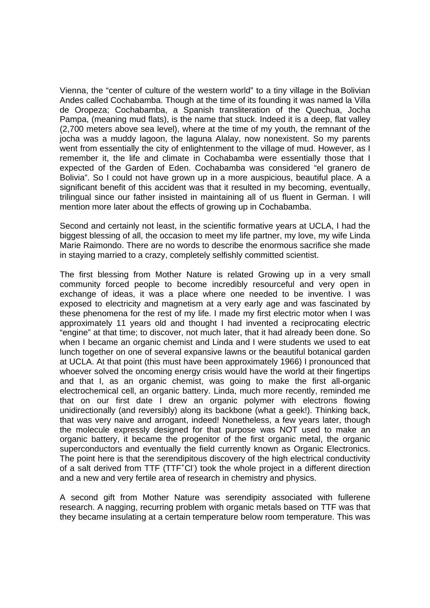Vienna, the "center of culture of the western world" to a tiny village in the Bolivian Andes called Cochabamba. Though at the time of its founding it was named la Villa de Oropeza; Cochabamba, a Spanish transliteration of the Quechua, Jocha Pampa, (meaning mud flats), is the name that stuck. Indeed it is a deep, flat valley (2,700 meters above sea level), where at the time of my youth, the remnant of the jocha was a muddy lagoon, the laguna Alalay, now nonexistent. So my parents went from essentially the city of enlightenment to the village of mud. However, as I remember it, the life and climate in Cochabamba were essentially those that I expected of the Garden of Eden. Cochabamba was considered "el granero de Bolivia". So I could not have grown up in a more auspicious, beautiful place. A a significant benefit of this accident was that it resulted in my becoming, eventually, trilingual since our father insisted in maintaining all of us fluent in German. I will mention more later about the effects of growing up in Cochabamba.

Second and certainly not least, in the scientific formative years at UCLA, I had the biggest blessing of all, the occasion to meet my life partner, my love, my wife Linda Marie Raimondo. There are no words to describe the enormous sacrifice she made in staying married to a crazy, completely selfishly committed scientist.

The first blessing from Mother Nature is related Growing up in a very small community forced people to become incredibly resourceful and very open in exchange of ideas, it was a place where one needed to be inventive. I was exposed to electricity and magnetism at a very early age and was fascinated by these phenomena for the rest of my life. I made my first electric motor when I was approximately 11 years old and thought I had invented a reciprocating electric "engine" at that time; to discover, not much later, that it had already been done. So when I became an organic chemist and Linda and I were students we used to eat lunch together on one of several expansive lawns or the beautiful botanical garden at UCLA. At that point (this must have been approximately 1966) I pronounced that whoever solved the oncoming energy crisis would have the world at their fingertips and that I, as an organic chemist, was going to make the first all-organic electrochemical cell, an organic battery. Linda, much more recently, reminded me that on our first date I drew an organic polymer with electrons flowing unidirectionally (and reversibly) along its backbone (what a geek!). Thinking back, that was very naive and arrogant, indeed! Nonetheless, a few years later, though the molecule expressly designed for that purpose was NOT used to make an organic battery, it became the progenitor of the first organic metal, the organic superconductors and eventually the field currently known as Organic Electronics. The point here is that the serendipitous discovery of the high electrical conductivity of a salt derived from TTF (TTF<sup>+</sup>CI) took the whole project in a different direction and a new and very fertile area of research in chemistry and physics.

A second gift from Mother Nature was serendipity associated with fullerene research. A nagging, recurring problem with organic metals based on TTF was that they became insulating at a certain temperature below room temperature. This was